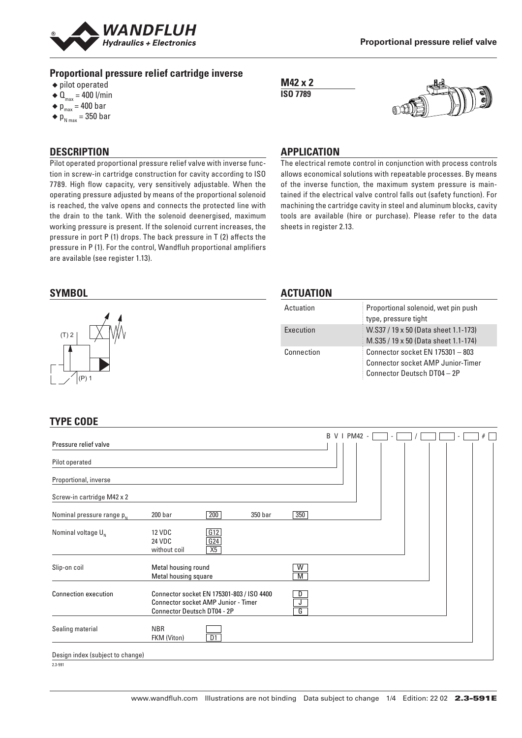

#### **Proportional pressure relief cartridge inverse**

- ◆ pilot operated
- $\triangleleft$  Q<sub>max</sub> = 400 l/min
- $\bullet$  p<sub>max</sub> = 400 bar
- $\triangleleft p_{N \text{ max}}$  = 350 bar

# **DESCRIPTION**

Pilot operated proportional pressure relief valve with inverse function in screw-in cartridge construction for cavity according to ISO 7789. High flow capacity, very sensitively adjustable. When the operating pressure adjusted by means of the proportional solenoid is reached, the valve opens and connects the protected line with the drain to the tank. With the solenoid deenergised, maximum working pressure is present. If the solenoid current increases, the pressure in port P (1) drops. The back pressure in T (2) affects the pressure in P (1). For the control, Wandfluh proportional amplifiers are available (see register 1.13).





#### **APPLICATION**

The electrical remote control in conjunction with process controls allows economical solutions with repeatable processes. By means of the inverse function, the maximum system pressure is maintained if the electrical valve control falls out (safety function). For machining the cartridge cavity in steel and aluminum blocks, cavity tools are available (hire or purchase). Please refer to the data sheets in register 2.13.



#### **ACTUATION**

| Actuation  | Proportional solenoid, wet pin push<br>type, pressure tight                                                 |
|------------|-------------------------------------------------------------------------------------------------------------|
| Execution  | W.S37 / 19 x 50 (Data sheet 1.1-173)<br>M.S35 / 19 x 50 (Data sheet 1.1-174)                                |
| Connection | Connector socket EN 175301 - 803<br><b>Connector socket AMP Junior-Timer</b><br>Connector Deutsch DT04 - 2P |

# **TYPE CODE**

|                                  |                                                                                                                                  |                     | B V I PM42 -<br># |
|----------------------------------|----------------------------------------------------------------------------------------------------------------------------------|---------------------|-------------------|
| Pressure relief valve            |                                                                                                                                  |                     |                   |
| Pilot operated                   |                                                                                                                                  |                     |                   |
| Proportional, inverse            |                                                                                                                                  |                     |                   |
| Screw-in cartridge M42 x 2       |                                                                                                                                  |                     |                   |
| Nominal pressure range $p_{N}$   | 200<br>200 <sub>bar</sub><br>350 bar                                                                                             | 350                 |                   |
| Nominal voltage $U_{N}$          | G12<br><b>12 VDC</b><br>G24<br><b>24 VDC</b><br>X5<br>without coil                                                               |                     |                   |
| Slip-on coil                     | Metal housing round<br>Metal housing square                                                                                      | $\overline{W}$<br>M |                   |
| <b>Connection execution</b>      | Connector socket EN 175301-803 / ISO 4400<br>J<br>Connector socket AMP Junior - Timer<br>G<br><b>Connector Deutsch DT04 - 2P</b> |                     |                   |
| Sealing material                 | <b>NBR</b><br>DT<br>FKM (Viton)                                                                                                  |                     |                   |
| Design index (subject to change) |                                                                                                                                  |                     |                   |
| 2.3-591                          |                                                                                                                                  |                     |                   |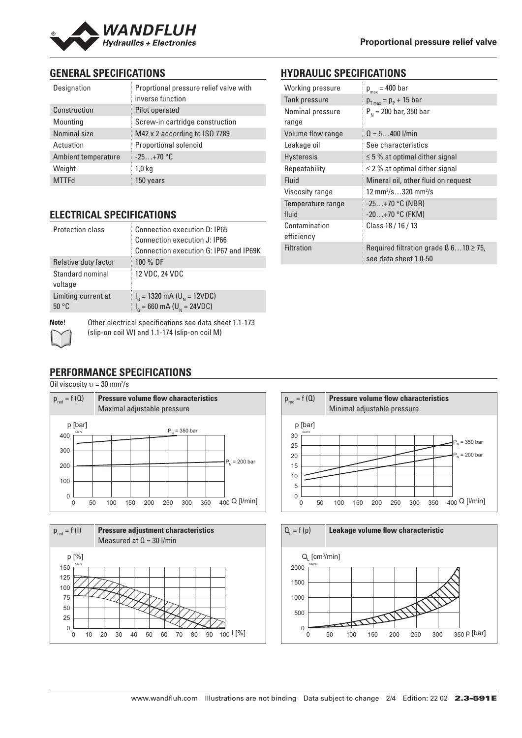

# **GENERAL SPECIFICATIONS**

| Designation         | Proprtional pressure relief valve with<br>inverse function |  |
|---------------------|------------------------------------------------------------|--|
| Construction        | Pilot operated                                             |  |
| Mounting            | Screw-in cartridge construction                            |  |
| Nominal size        | M42 x 2 according to ISO 7789                              |  |
| Actuation           | <b>Proportional solenoid</b>                               |  |
| Ambient temperature | $-25+70$ °C                                                |  |
| Weight              | 1,0 kg                                                     |  |
| <b>MTTFd</b>        | 150 years                                                  |  |

# **ELECTRICAL SPECIFICATIONS**

| Protection class             | Connection execution D: IP65<br>Connection execution J: IP66<br>Connection execution G: IP67 and IP69K |
|------------------------------|--------------------------------------------------------------------------------------------------------|
| Relative duty factor         | 100 % DF                                                                                               |
| Standard nominal<br>voltage  | 12 VDC, 24 VDC                                                                                         |
| Limiting current at<br>50 °C | $I_{\rm g}$ = 1320 mA (U <sub>N</sub> = 12VDC)<br>$I_{\rm g}$ = 660 mA (U <sub>N</sub> = 24VDC)        |
|                              |                                                                                                        |

# **HYDRAULIC SPECIFICATIONS**

| Working pressure            | $p_{max}$ = 400 bar                                                       |
|-----------------------------|---------------------------------------------------------------------------|
| Tank pressure               | $p_{T_{max}} = p_{P} + 15$ bar                                            |
| Nominal pressure<br>range   | $P_{N}$ = 200 bar, 350 bar                                                |
| Volume flow range           | $Q = 5400$ l/min                                                          |
| Leakage oil                 | See characteristics                                                       |
| <b>Hysteresis</b>           | $\leq$ 5 % at optimal dither signal                                       |
| Repeatability               | $\leq$ 2 % at optimal dither signal                                       |
| Fluid                       | Mineral oil, other fluid on request                                       |
| Viscosity range             | 12 mm <sup>2</sup> /s320 mm <sup>2</sup> /s                               |
| Temperature range<br>fluid  | $-25+70$ °C (NBR)<br>$-20+70$ °C (FKM)                                    |
| Contamination<br>efficiency | Class 18 / 16 / 13                                                        |
| <b>Filtration</b>           | Required filtration grade $\beta$ 610 $\geq$ 75,<br>see data sheet 1.0-50 |

**Note!** Other electrical specifications see data sheet 1.1-173 (slip-on coil W) and 1.1-174 (slip-on coil M)

# **PERFORMANCE SPECIFICATIONS**

Oil viscosity  $v = 30$  mm<sup>2</sup>/s







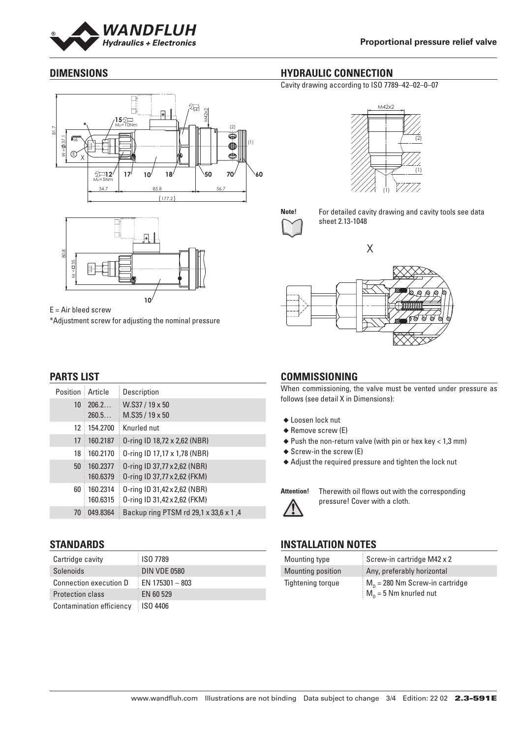

# **DIMENSIONS**





E = Air bleed screw \*Adjustment screw for adjusting the nominal pressure

# **PARTS LIST**

| Position        | Article              | Description                                                  |
|-----------------|----------------------|--------------------------------------------------------------|
| 10 <sup>1</sup> | 206.2<br>260.5       | W.S37 / 19 x 50<br>$M.S35/19 \times 50$                      |
| 12              | 154.2700             | Knurled nut                                                  |
| 17              | 160.2187             | 0-ring ID 18,72 x 2,62 (NBR)                                 |
| 18              | 160.2170             | 0-ring ID 17,17 x 1,78 (NBR)                                 |
| 50              | 160.2377<br>160.6379 | 0-ring ID 37,77 x 2,62 (NBR)<br>0-ring ID 37,77 x 2,62 (FKM) |
| 60              | 160.2314<br>160.6315 | 0-ring ID 31,42 x 2,62 (NBR)<br>0-ring ID 31,42 x 2,62 (FKM) |
| 70              | 049.8364             | Backup ring PTSM rd 29,1 x 33,6 x 1,4                        |

#### **STANDARDS**

| Cartridge cavity         | <b>ISO 7789</b>     |
|--------------------------|---------------------|
| Solenoids                | <b>DIN VDE 0580</b> |
| Connection execution D   | $EN$ 175301 - 803   |
| <b>Protection class</b>  | EN 60 529           |
| Contamination efficiency | <b>ISO 4406</b>     |

# **HYDRAULIC CONNECTION**

Cavity drawing according to ISO 7789–42–02–0–07





**Note!** For detailed cavity drawing and cavity tools see data sheet 2.13-1048



# **COMMISSIONING**

When commissioning, the valve must be vented under pressure as follows (see detail X in Dimensions):

- ◆ Loosen lock nut
- ◆ Remove screw (E)
- $\triangle$  Push the non-return valve (with pin or hex key < 1,3 mm)
- ◆ Screw-in the screw (E)
- ◆ Adjust the required pressure and tighten the lock nut

**Attention!** Therewith oil flows out with the corresponding pressure! Cover with a cloth.

# **INSTALLATION NOTES**

| Mounting type            | Screw-in cartridge M42 x 2                                    |
|--------------------------|---------------------------------------------------------------|
| <b>Mounting position</b> | Any, preferably horizontal                                    |
| Tightening torque        | $M_p = 280$ Nm Screw-in cartridge<br>$M_n = 5$ Nm knurled nut |